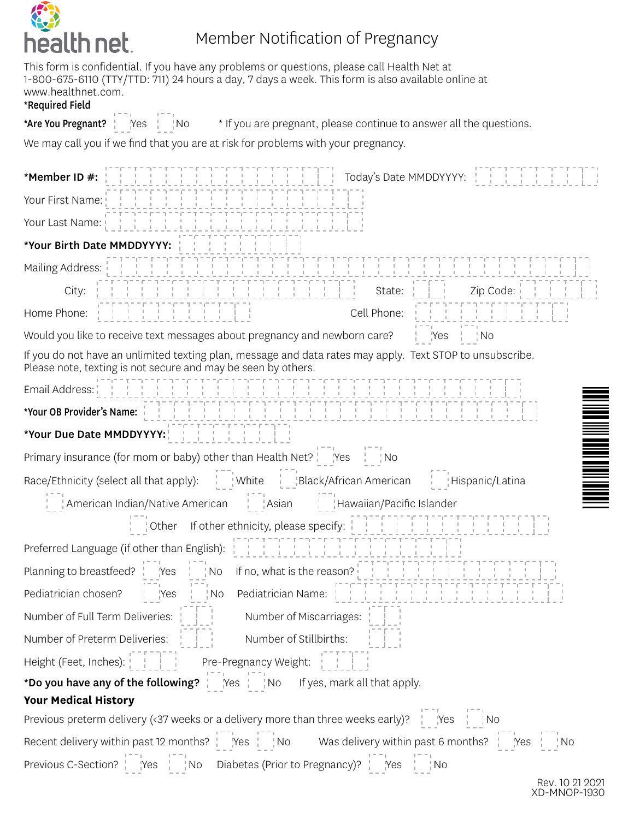

## Member Notification of Pregnancy

This form is confidential. If you have any problems or questions, please call Health Net at 1-800-675-6110 (TTY/TTD: 711) 24 hours a day, 7 days a week. This form is also available online at www.healthnet.com.

## \*Required Field

\*Are You Pregnant? <sup>11</sup> Yes No \* If you are pregnant, please continue to answer all the questions.

We may call you if we find that you are at risk for problems with your pregnancy.

| Today's Date MMDDYYYY: 1<br>*Member ID #:                                                                                                                                                                                           |
|-------------------------------------------------------------------------------------------------------------------------------------------------------------------------------------------------------------------------------------|
| Your First Name:                                                                                                                                                                                                                    |
| $-1 - 1 - 1 - 1$<br>Your Last Name:                                                                                                                                                                                                 |
| *Your Birth Date MMDDYYYY:                                                                                                                                                                                                          |
| <u> Herbert Herbert Herbert Herbert Herb</u><br>Mailing Address:                                                                                                                                                                    |
| Zip Code: $\begin{array}{ccc} \vert & \vert & \vert & \vert \end{array}$<br>City:<br>State:                                                                                                                                         |
| Cell Phone:<br>Home Phone:                                                                                                                                                                                                          |
| Would you like to receive text messages about pregnancy and newborn care?<br>$\frac{1}{1}$ Yes $\frac{1}{1}$ No                                                                                                                     |
| If you do not have an unlimited texting plan, message and data rates may apply. Text STOP to unsubscribe.<br>Please note, texting is not secure and may be seen by others.                                                          |
| Email Address:                                                                                                                                                                                                                      |
|                                                                                                                                                                                                                                     |
| *Your Due Date MMDDYYYY:                                                                                                                                                                                                            |
| Primary insurance (for mom or baby) other than Health Net?   Yes<br>$\frac{1}{1}$ No                                                                                                                                                |
| Race/Ethnicity (select all that apply): White Lubbar Black/African American Hispanic/Latina<br>American Indian/Native American   Asian<br>Hawaiian/Pacific Islander                                                                 |
|                                                                                                                                                                                                                                     |
| If other ethnicity, please specify: $\begin{array}{cccc}   &   &   &   &   &   &   &   &   &   &   &   &   &   \end{array}$<br>∣ Other                                                                                              |
|                                                                                                                                                                                                                                     |
| Preferred Language (if other than English): $\begin{array}{cccc}   &   &   &   &   &   &   &   &   &   &   &   &   \end{array}$<br>Planning to breastfeed?  <br>$\frac{1}{2}$ No If no, what is the reason?<br>$Y$ es $\frac{1}{1}$ |
| Pediatrician chosen?<br>$\frac{1}{1}$ No<br>$\frac{1}{1}$ Pes                                                                                                                                                                       |
| Number of Full Term Deliveries:  <br>Number of Miscarriages:                                                                                                                                                                        |
| Number of Preterm Deliveries: Number of Stillbirths:                                                                                                                                                                                |
| Height (Feet, Inches): [14] Pre-Pregnancy Weight: [14]                                                                                                                                                                              |
| *Do you have any of the following?   Yes   No If yes, mark all that apply.                                                                                                                                                          |
| <b>Your Medical History</b>                                                                                                                                                                                                         |
| Previous preterm delivery (<37 weeks or a delivery more than three weeks early)?   Yes   No                                                                                                                                         |
| Recent delivery within past 12 months? $\frac{1}{1}$ Nes $\frac{1}{1}$ No Was delivery within past 6 months? $\frac{1}{1}$ Nes $\frac{1}{1}$ No<br>Previous C-Section?   Yes   No Diabetes (Prior to Pregnancy)?   Yes   No         |